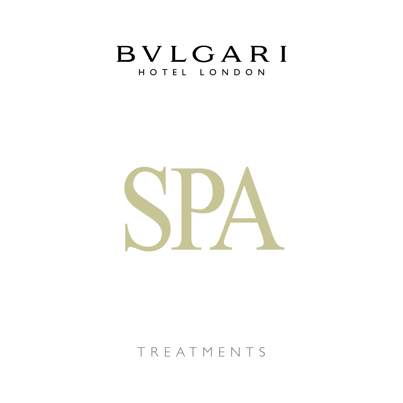



## TREATMENTS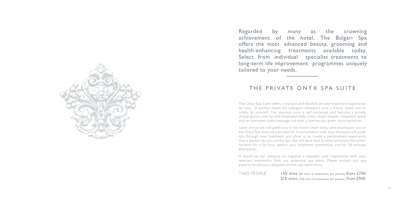The Onyx Spa Suite offers a tranquil and blissfully private treatment experience for two. A perfect haven for indulgent relaxation with a friend, loved one or simply by yourself. The spacious suite is self-contained and features a private changing area, side-by-side treatment beds, a twin steam shower, relaxation space and an oversized hydro massage tub with a spectacular green onyx backdrop.

Upon arrival we will greet you in the hotel's main lobby and accompany you to the Onyx Spa Suite via a private lift. A consultation with your therapist will guide you through your treatment and allow us to create a personalised experience that is perfect for you on the day. You will have time to relax and enjoy the suite's facilities for a full hour before your treatment commences and for 30 minutes afterwards.

It would be our pleasure to organise a bespoke suite experience with your selected treatments from our extensive spa menu. Please contact our spa experts to discuss a bespoke private spa experience.

TWO PEOPLE

150 mins (60 mins of treatments per person) from £750 210 mins (120 mins of treatments per person) from £950



Regarded by many as the crowning achievement of the hotel, The Bulgari Spa offers the most advanced beauty, grooming and health-enhancing treatments available today. Select from individual specialist treatments to long-term life improvement programmes uniquely tailored to your needs.

## THE PRIVATE ONYX SPA SUITE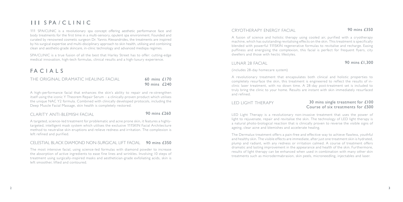## $III$  S PA / C  $I$   $IN$   $IC$

111 SPA/CLINIC is a revolutionary spa concept offering aesthetic performance face and body treatments for the first time in a multi-sensory, opulent spa environment. Founded and curated by renowned cosmetic surgeon Dr. Yannis Alexandrides, the treatments are inspired by his surgical expertise and multi-disciplinary approach to skin health, utilising and combining clean and aesthetic-grade skincare, in-clinic technology and advanced medispa regimes.

SPA/CLINIC is a true fusion of all the best that Harley Street has to offer: cutting-edge medical innovation, high-tech formulas, clinical results and a high-luxury experience.

## FACIALS

THE ORIGINAL DRAMATIC HEALING FACIAL

A high-performance facial that enhances the skin's ability to repair and re-strengthen itself using the iconic Y Theorem Repair Serum – a clinically-proven product which utilises the unique NAC Y2 formula. Combined with clinically developed protocols, including the Deep Muscle Facial Massage, skin health is completely restored.

## CLARITY ANTI-BLEMISH FACIAL 90 mins £260

A targeted, science-led treatment for problematic and acne prone skin, it features a highlytargeted, intelligent mask system which utilises the exclusive 111SKIN Facial Architecture method to neutralise skin eruptions and relieve redness and irritation. The complexion is left refined and purified.

## LED LIGHT THERAPY 30 mins single treatment for £100 Course of six treatments for £500

### CELESTIAL BLACK DIAMOND NON-SURGICAL LIFT FACIAL 90 mins £350

The most intensive facial, using science-led formulas with diamond powder to increase the absorption of active ingredients to ease fine lines and wrinkles. Involving 10 steps of treatment using surgically-inspired masks and aesthetician-grade exfoliating acids, skin is left smoother, lifted and contoured.

## CRYOTHERAPY ENERGY FACIAL 90 mins £350

A fusion of science and holistic therapy using cooled air, purified with a cryotherapy machine, which has outstanding revitalising effects on the skin. This treatment is specifically blended with powerful 111SKIN regenerative formulas to revitalise and recharge. Easing puffiness and energising the complexion, this facial is perfect for frequent flyers, city dwellers and those with hectic lifestyles.

## LUNAR 28 FACIAL 90 mins £1,300

### (includes 28-day homecare system)

A revolutionary treatment that encapsulates both clinical and holistic properties to completely resurface the skin, this treatment is engineered to reflect the results of inclinic laser treatment, with no down time. A 28-day post-treatment set is included to truly bring the clinic to your home. Results are instant with skin immediately resurfaced and refined.

LED Light Therapy is a revolutionary non-invasive treatment that uses the power of light to rejuvenate, repair and revitalise the skin. The technology of LED light therapy is a natural photo-biological reaction that is clinically proven to reverse the visible signs of ageing, clear acne and blemishes and accelerate healing.

The Dermalux treatment offers a pain-free and effective way to achieve flawless, youthful and healthy skin. The visible effects are immediate, after just one treatment skin is hydrated, plump and radiant, with any redness or irritation calmed. A course of treatment offers dramatic and lasting improvement in the appearance and health of the skin. Furthermore, results of light therapy can be enhanced when used in combination with many other skin treatments such as microdermabrasion, skin peels, microneedling, injectables and laser.

60 mins £170 90 mins £240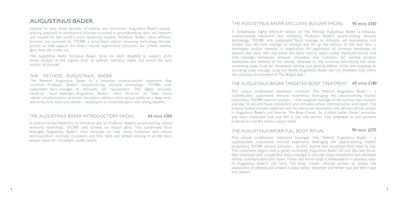## AUGUSTINUS BAD E R

Inspired by over three decades of science and innovation, Augustinus Bader's awardwinning approach to professional skincare is rooted in groundbreaking stem cell research and trusted by the world's most discerning experts. Professor Bader's clean, efficient formulas are powered by TFC8®, a proprietary cellular renewing technology clinically proven to help support the body's natural regenerative processes, for a fresh, healthy glow from the inside out.

The Augustinus Bader exclusive Bulgari facial has been designed to support skin's innate wisdom at the highest level, to address individual needs and reveal the best version of yourself.

### THE METHOD AUGUSTINUS BADER

The Method Augustinus Bader is a bespoke, science-backed treatment that combines Professor Bader's award-winning skincare technology, TFC8®, with customized fascia massage to stimulate cell rejuvenation. This highly sensorial, hands-on facial leverages Augustinus Bader's hero formulas to help boost cellular communication, promote circulation, address skin's unique needs at a deep level, and visibly firm, tone and refresh – resulting in an immediate glow with lasting benefits.

A science-backed treatment to introduce skin to Professor Bader's award-winning cellular renewing technology, TFC8®, and achieve an instant glow. This customized facial leverages Augustinus Bader's hero formulas to help boost hydration and cellular communication, promote circulation, and firm, tone and refresh, zeroing in on the skin's unique needs for immediate, visible results.

A streamlined, highly effective version of The Method Augustinus Bader, a bespoke, science-backed treatment that combines Professor Bader's award-winning skincare technology, TFC8®, with customized fascia massage to stimulate cell rejuvenation and ancient Gua Sha tool massage to reshape and lift up the contour of the face. Skin is thoroughly double cleansed in preparation for application of formulas developed to activate skin stem cells and boost the skin's natural repair cycles. Signature manual and tool massage techniques enhance circulation and hydration, for optimal product absorption and delivery of key actives, followed by the exclusive detoxifying and ultrasmoothing mask ritual for immediate calming and glowing effects, whilst also enjoying an activating scalp massage using the famed Augustinus Bader hair oil. Available only within the luxurious environment of The B ulgari Spa.

## THE AUGUSTINUS BADER TARGETED BODY TREATMENT 60 mins £180

### THE AUGUSTINUS BADER INTRODUCTORY FACIAL 60 mins £200

### THE AUGUSTINUS BADER EXCLUSIVE BULGARI FACIAL 9 0 mins £350

This unique professional treatment combines The Method Augustinus Bader – a sophisticated, customized skincare experience leveraging the award-winning brand's proprietary TFC8® renewal complex – with targeted massage of the tummy, hips, bottom and legs, to activate tissue metabolism and stimulate cellular communication and repair. The science-backed process optimizes skin for maximum absorption and delivery of key actives in Augustinus Bader's cult favorite, The Body Cream, for a visibly softer, firmer, smoother and more revitalized look and feel in just one session. Fully adaptable to suit personal preferences and the body's unique needs.

## THE AUGUSTINUS BADER FULL BODY RITUAL

This unique professional treatment leverages The Method Augustinus Bader – a sophisticated, customized skincare experience leveraging the award-winning brand's proprietary TFC8® renewal complex – to firm, soothe and rejuvenate from head to toe. The experience begins with a gently exfoliating Augustinus Bader Oil and Sea Salt Scrub, then continues with a superficial fascia massage to activate tissue metabolism and stimulate cellular communication and repair. Finally, the entire body is enveloped in a luxurious layer of Augustinus Bader's cult hero, The Body Cream, clinically proven to reduce the appearance of cellulite and achieve a visibly softer, smoother and firmer look and feel in just one session.

### 9 0 mins £ 270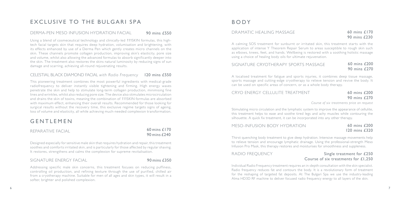Using a blend of cosmeceutical technology and clinically-led 111SKIN formulas, this hightech facial targets skin that requires deep hydration, volumisation and brightening, with its effects enhanced by use of a Derma Pen which gently creates micro channels on the skin. These channels promote collagen production, improving skin's elasticity, pore size and volume, whilst also allowing the advanced formulas to absorb significantly deeper into the skin. The treatment also restores the skins natural luminosity by reducing signs of sun damage and scarring, achieving all-round rejuvenating results.

### CELESTIAL BLACK DIAMOND FACIAL *with Radio Frequency* 120 mins £550

Designed especially for sensitive male skin that requires hydration and repair, this treatment soothes and comforts irritated skin, and is particularly for those affected by regular shaving. It restores, strengthens and calms the complexion for supreme revitalisation.

### SIGNATURE ENERGY FACIAL **90 mins £350**

This pioneering treatment combines the most powerful ingredients with medical-grade radiofrequency to deliver instantly visible tightening and firming. High energy waves penetrate the skin and help to stimulate long-term collagen production, minimising fine lines and wrinkles, whilst also reducing pore size. The device also stimulates microcirculation and drains the skin of toxins, meaning the combination of 111SKIN formulas are absorbed with maximum effect, enhancing their overall results. Recommended for those looking for surgical results without the recovery time, this exclusive regime targets signs of ageing, loss of volume and elasticity, all while achieving much-needed complexion transformation.

## **GENTLEMEN**

## SIGNATURE CRYOTHERAPY SPORTS MASSAGE 60 mins £200 90 mins £270

REPARATIVE FACIAL

## RADIO FREQUENCY Single treatment for £250 Course of six treatments for £1,250

Addressing specific male skin concerns, this treatment focuses on reducing puffiness, controlling oil production, and refining texture through the use of purified, chilled air from a cryotherapy machine. Suitable for men of all ages and skin types, it will result in a softer, brighter and polished complexion.

## BODY

### DRAMATIC HEALING MASSAGE

A calming SOS treatment for sunburnt or irritated skin, this treatment starts with the application of intense Y Theorem Repair Serum to areas susceptible to rough skin such as elbows, knees, feet, and hands. Wellbeing is restored with a soothing holistic massage using a choice of healing body oils for ultimate rejuvenation.

A localised treatment for fatigue and sports injuries, it combines deep tissue massage, sports massage and cutting-edge cryotherapy to relieve tension and revive the body. It can be used on specific areas of concern, or as a whole body therapy.

## CRYO ENERGY CELLULITE TREATMENT 60 mins £200

# 90 mins £270

*Course of six treatments price on request*

Stimulating micro circulation and the lymphatic system to improve the appearance of cellulite, this treatment helps to ease and soothe tired legs and achy muscles while contouring the silhouette. A quick fix treatment, it can be incorporated into any other therapy.

## MESO-INFUSION BODY HYDRATION 60 mins £200

# 120 mins £320

Thirst quenching body treatment to give deep hydration. Intensive massage movements help to relieve tension and encourage lymphatic drainage. Using the professional-strength Meso Infusion Pro Mask, this therapy restores and moisturises for smoothness and suppleness.

Individual Radio Frequency treatment requires an in-depth consultation with the skin specialist. Radio frequency reduces fat and contours the body. It is a revolutionary form of treatment for the reshaping of targeted fat deposits. At The Bulgari Spa we use the industry-leading Alma HD3D RF machine to deliver focused radio frequency energy to all layers of the skin.

60 mins £170 90 mins £240

## 6 0 mins £170 90 mins £230

## EXCLUSIVE TO THE BULGARI SPA

### DERMA-PEN MESO INFUSION HYDRATION FACIAL 90 mins £550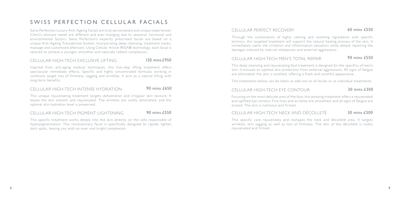Through the combination of highly calming and soothing ingredients with specific technics, this targeted treatment will support the natural healing process of the skin. It immediately calms the irritation and inflammation sensation while deeply repairing the damages induced by internal imbalances and external aggressions.

## CELLULAR HIGH-TECH MEN'S TOTAL REPAIR 90 mins £550

This deep cleansing and rejuvenating face treatment is designed for the specifics of men's skin. It ensures an optimal skin protection from external aggressions. All signs of fatigue are eliminated, the skin is soothed, offering a fresh and youthful appearance.

The treatments below can be taken as add-ons to all facials or as individual treatments.

## CELLULAR HIGH-TECH EYE CONTOUR 30 mins £300

Focusing on the most delicate area of the face, this amazing treatment offers a rejuvenated and uplifted eye contour. Fine lines and wrinkles are smoothed, and all signs of fatigue are erased. The skin is luminous and firmed.

## CELLULAR HIGH-TECH NECK AND DÉCOLLETÉ 30 mins £300

This specific care rejuvenates and reshapes the neck and décolleté area. It targets wrinkles, skin sagging as well as loss of firmness. The skin of the décolleté is visibly rejuvenated and firmed.

## SWISS PERFECTION CELLULAR FACIALS

Swiss Perfection Luxury Anti-Ageing Facials are truly personalised and unique experiences. Client's skincare needs are different and ever-changing due to seasonal, hormonal and environmental factors. Swiss Perfection's expertly prescribed facials are based on a unique Anti-Ageing Transdermal System, incorporating deep cleansing, treatment masks, massage and customised aftercare. Using Cellular Active IRISA® technology, each facial is tailored to achieve a younger, smoother and naturally radiant complexion.

## CELLULAR HIGH-TECH EXCLUSIVE LIFTING 120 mins £950

Inspired from anti-aging medical techniques, this five-step lifting treatment offers spectacular immediate effects. Specific and highly concentrated formulas working in symbiosis target loss of firmness, sagging and wrinkles. It acts as a natural lifting with long-term benefits.

## CELLULAR HIGH-TECH INTENSE HYDRATION 90 mins £650

This unique rejuvenating treatment targets dehydration and irregular skin texture. It leaves the skin smooth and rejuvenated. The wrinkles are visibly diminished, and the optimal skin hydration level is preserved.

## CELLULAR HIGH-TECH PIGMENT LIGHTENING 90 mins £550

This specific treatment works deeply into the skin directly on the cells responsible of hyperpigmentation. This revolutionary facial is specifically designed to rapidly lighten dark spots, leaving you with an even and bright complexion.

## CELLULAR PERFECT RECOVERY 60 mins £550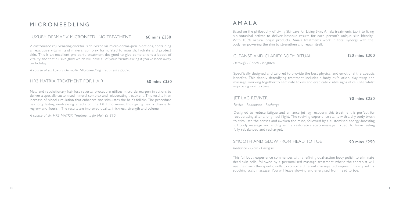## MICRONEEDLING

## LUXURY DERMAFIX MICRONEEDLING TREATMENT 60 mins £350

A customised rejuvenating cocktail is delivered via micro derma-pen injections, containing an exclusive vitamin and mineral complex formulated to nourish, hydrate and protect skin. This is an excellent pre-party treatment designed to give complexions a boost of vitality and that elusive glow which will have all of your friends asking if you've been away on holiday.

*A course of six Luxury Dermafix Microneedling Treatments £1,890*

### HR3 MATRIX TREATMENT FOR HAIR 60 mins £350

## AMALA

Based on the philosophy of Living Skincare for Living Skin, Amala treatments tap into living bio-botanical actives to deliver bespoke results for each person's unique skin identity. With 100% natural origin products, Amala treatments work in total synergy with the body, empowering the skin to strengthen and repair itself.

## CLEANSE AND CLARIFY BODY RITUAL 120 mins £300

*Detoxify - Enrich - Brighten*

Specifically designed and tailored to provide the best physical and emotional therapeutic benefits. This deeply detoxifying treatment includes a body exfoliation, clay wrap and massage, working together to eliminate toxins and eradicate visible signs of cellulite whilst improving skin texture.

## JET LAG REVIVER 90 mins £250

*Revive - Rebalance - Recharge*

Designed to reduce fatigue and enhance jet lag recovery, this treatment is perfect for recuperating after a long-haul flight. The reviving experience starts with a dry body brush to stimulate the senses and awaken the mind, followed by a customised energy-boosting full body massage and ending with a restorative scalp massage. Expect to leave feeling fully rebalanced and recharged.

## SMOOTH AND GLOW FROM HEAD TO TOE 90 mins £250

*Radiance - Glow - Energise* 

This full body experience commences with a refining dual-action body polish to eliminate dead skin cells, followed by a personalised massage treatment where the therapist will use their own therapeutic skills to combine different massage techniques, finishing with a soothing scalp massage. You will leave glowing and energised from head to toe.

New and revolutionary hair loss reversal procedure utilises micro derma-pen injections to deliver a specially customised mineral complex and rejuvenating treatment. This results in an increase of blood circulation that enhances and stimulates the hair's follicle. The procedure has long lasting neutralising effects on the DHT hormone, thus giving hair a chance to regrow and flourish. The results are improved quality, thickness, strength and volume.

*A course of six HR3 MATRIX Treatments for Hair £1,890*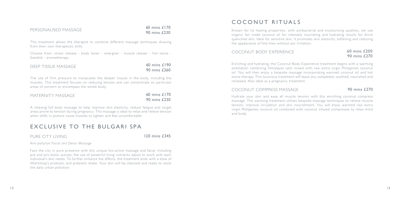## PERSONALISED MASSAGE

This treatment allows the therapist to combine different massage techniques drawing from their own therapeutic skills.

Choose from: stress release - body toner - energiser - muscle relaxer - hot stone - Swedish - aromatherapy

The use of firm pressure to manipulate the deeper tissues in the body, including the muscles. This treatment focuses on reducing tension and can concentrate on particular areas of concern or encompass the whole body.

A relaxing full body massage to help improve skin elasticity, reduce fatigue and target areas prone to tension during pregnancy. This massage is ideal to relax and relieve tension when shifts in posture cause muscles to tighten and feel uncomfortable.

## EXCLUSIVE TO THE BULGARI SPA

## PURE CITY LIVING 120 mins £345

*Anti-pollution Facial and Detox Massage*

Face the city in pure presence with this unique bio-active massage and facial. Including pre and pro biotic actives, the use of powerful living nutrients adjust to work with each individual's skin needs. To further enhance the effects, the treatment ends with a dose of Workshop's probiotic and prebiotic shake. Your skin will be cleansed and ready to resist the daily urban pollution.

## COCONUT RITUALS

| DEEP TISSUE MASSAGE | 60 mins £190 |  |
|---------------------|--------------|--|
|                     | 90 mins £260 |  |

Known for its healing properties, with antibacterial and moisturising qualities, we use organic fair trade coconut oil for intensely nourishing and hydrating results for thirst quenched skin. Ideal for sensitive skin, it promotes skin elasticity, softening and reducing the appearance of fine lines without any irritation.

## COCONUT BODY EXPERIENCE 60 mins £200

| MATERNITY MASSAGE | 60 mins £170 |
|-------------------|--------------|
|                   | 90 mins £230 |

# 90 mins £270

Enriching and hydrating, the Coconut Body Experience treatment begins with a warming exfoliation combining Himalayan salts mixed with raw extra virgin Philippines coconut oil. You will then enjoy a bespoke massage incorporating warmed coconut oil and hot stone therapy. This luxurious treatment will leave you completely soothed, nourished and renewed. Also ideal as a pregnancy treatment.

## COCONUT COMPRESS MASSAGE 90 mins £270

Hydrate your skin and ease all muscle tension with this enriching coconut compress massage. The warming treatment utilises bespoke massage techniques to relieve muscle tension, improve circulation and skin nourishment. You will enjoy warmed raw extra virgin Philippines coconut oil combined with coconut infused compresses to relax mind and body.

60 mins £170

90 mins £230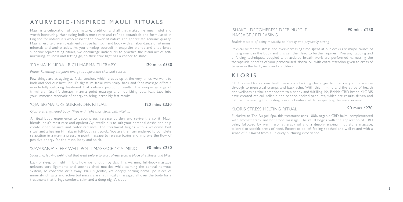## AY URVEDIC - INSPIRED MAULL RITUALS

Mauli is a celebration of love, nature, tradition and all that makes life meaningful and worth honouring. Harnessing India's most rare and refined botanicals and formulated in England for individuals who respect the power of nature and appreciate genuine quality. Mauli's results-driven treatments infuse hair, skin and body with an abundance of vitamins, minerals and amino acids. As you envelop yourself in exquisite blends and experience superior rejuvenating rituals, we encourage individuals to practice the Mauli art of selfnurturing, stillness and letting go, so their true light has a chance to shine.

### 'PRANA' MINFRAL RICH MARMA THERAPY

120 mins £330

*Prana: Releasing stagnant energy to rejuvenate skin and senses*

Few things are as ageing as facial tension, which creeps up at the very times we want to look and feel our best. Mauli's signature facial with scalp, back and foot massage offers a wonderfully detoxing treatment that delivers profound results. The unique synergy of tri-mineral face-lift therapy, marma point massage and nourishing botanicals taps into your immense reservoir of energy to bring incredibly fast results.

## 'OIA' SIGNATURE SURRENDER RITUAL 120 mins £330

## 'SHAKTI' DECOMPRESS DEEP MUSCLE 90 mins £250 MASSAGE / RELEASING

*Ojas: a strengthened body, filled with light that glows with vitality.*

A ritual body experience to decompress, release burden and revive the spirit. Mauli blends India's most rare and opulent Ayurvedic oils to suit your personal dosha and help create inner balance and outer radiance. The treatment begins with a welcome foot ritual and a healing Himalayan full-body salt scrub. You are then surrendered to complete relaxation in a marma pressure point massage to release toxins and improve the flow of positive energy for the mind, body and spirit.

## 'SAVASANA' SLEEP WELL POLTI MASSAGE / CALMING 90 mins £250

*Savasana: leaving behind all that went before to start afresh from a place of stillness and bliss.*

Lack of sleep by night inhibits how we function by day. This warming full-body massage unknots sore ligaments and soothes tired muscles while calming the central nervous system, so concerns drift away. Mauli's gentle, yet deeply healing herbal poultices of mineral-rich salts and active botanicals are rhythmically massaged all over the body for a treatment that brings comfort, calm and a deep night's sleep.

*Shakti: a state of being mentally, spiritually and physically strong*

Ph ysical or mental stress and ever-increasing time spent at our desks are major causes of misalignment in the body and this can then lead to further injuries. Pressing, tapping and enfolding techniques, coupled with assisted breath work are performed harnessing the therapeutic benefits of your personalised 'dosha' oil, with extra attention given to areas of tension in the back, neck and shoulders.

## KLORIS

CBD is used for various health reasons - tackling challenges from anxiety and insomnia through to menstrual cramps and back ache. With this in mind and the ethos of health and wellness as vital components to a happy and fulfilling life, British CBD brand KLORIS have created ethical, reliable and science-backed products, which are results driven and natural, harnessing the healing power of nature whilst respecting the environment.

## KLORIS STRESS MELTING RITUAL 90 mins £270

Exclusive to The Bulgari Spa, this treatment uses 100% organic CBD balm, complemented with aromatherapy and hot stone massage. The ritual begins with the application of CBD balm, followed by warm aromatherapy oil and a deeply-relaxing hot stone massage, tailored to specific areas of need. Expect to be left feeling soothed and well-rested with a sense of fulfilment from a uniquely nurturing experience.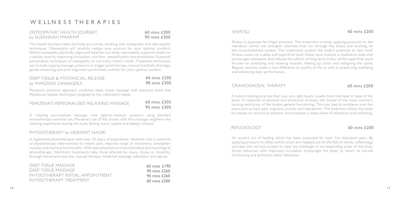## OSTEOPATHIC HEALTH JOURNEY 60 mins £200 by SUSANNAH MAKRAM **90 mins £300**

The Health Journey treats the body as a whole, working with osteopathy and naturopathy techniques. Osteopathy will carefully realign your posture for your optimal comfort. Whilst osteopathy physically aligns and balances our body, naturopathy supports health on a cellular level by improving circulation, nutrition, detoxification and elimination. Susannah personalises techniques of osteopathy to suit every client's needs. Treatment techniques can include cupping massage, pressure or trigger point therapy, manual lymphatic drainage, gentle stretching and joint alignment performed carefully for your optimal comfort.

| DEEP TISSUE & MYOFASCIAL RELEASE |  | 60 mins £200 |
|----------------------------------|--|--------------|
| by MARZENA ZAWADZKA              |  | 90 mins £300 |

Marzena's personal approach combines deep tissue massage with pressure point and Myofascial release techniques targeted to the individual's needs.

## MARZENA'S PERSONALISED RELAXING MASSAGE 60 mins £200

90 mins £300

A relaxing personalised massage with light-to-medium pressure using blended aromatherapy essential oils. Marzena's use of hot stones with this massage heightens the relaxing experience leaving the body feeling warm, supple and deeply relaxed.

## PHYSIOTHERAPY by HESHMAT NASIRI

<sup>1</sup><sup>6</sup> <sup>1</sup><sup>7</sup> <sup>W</sup> <sup>E</sup> LLN <sup>E</sup> <sup>S</sup> S T <sup>H</sup> <sup>E</sup> <sup>R</sup> <sup>A</sup> <sup>P</sup> <sup>I</sup> <sup>E</sup> <sup>S</sup> Shiatsu is Japanese for finger pressure. The treatment involves applying pressure on the meridians (which are energetic channels that run through the body) and working on the musculoskeletal system. The treatments awaken the body's potential to heal itself. Shiatsu works on a deep and superficial level. Deep work induces a meditative state that encourages relaxation and reduces the effects of long-term stress, whilst superficial work focuses on stretching and relaxing muscles, freeing up joints and realigning the spine. Regular sessions make a real difference to quality of life as well as preserving wellbeing and enhancing daily performance.

## CRANIOSACRAL THERAPY 60 mins £200

A registered physiotherapist with over 20 years of experience, Heshmat uses a selection of physiotherapy interventions to relieve pain, improve range of movement, strengthen muscles and improve functionality. With specialisations in musculoskeletal and neurological physiotherapy, Heshmat's treatments help those affected by injury, illness or disability, through movement exercise, manual therapy, medicinal massage, education and advice.

| DEEP TISSUE MASSAGE               | 60 mins $£190$   |
|-----------------------------------|------------------|
| DEEP TISSUE MASSAGE               | 90 mins £260     |
| PHYSIOTHERAPY INITIAL APPOINTMENT | 90 mins £260     |
| PHYSIOTHERAPY TREATMENT           | $60$ mins $£200$ |

## SHIATSU

A holistic healing practice that uses very light touch, usually from the head or base of the spine. In response to physical and emotional stresses, the tissues of the body contract, causing restriction of the bodies general functioning. This may lead to problems over the years such as back pain, migraine, anxiety and depression. The treatment allows the body to release its restrictive patterns and produces a deep sense of relaxation and wellbeing.

## REFLEXOLOGY 60 mins £200

An ancient art of healing which has been practiced for over five thousand years. By applying pressure to reflex points which are mapped out on the feet or hands, reflexology activates the nervous system to clear any blockages in corresponding areas of the body. Stress reduction with improved circulation encourages the body to return to normal functioning and promotes deep relaxation.

### $60 \text{ mins}$   $f200$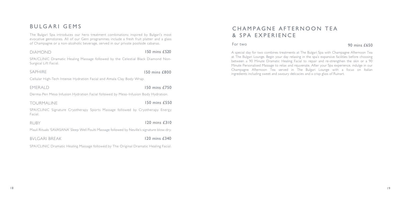## BULGARI GEMS

The Bulgari Spa introduces our hero treatment combinations inspired by Bulgari's most evocative gemstones. All of our Gem programmes include a fresh fruit platter and a glass of Champagne or a non-alcoholic beverage, served in our private poolside cabanas.

DIAMOND 150 mins £520

SPA/CLINIC Dramatic Healing Massage followed by the Celestial Black Diamond Non-Surgical Lift Facial.

SAPHIRE 150 mins £800

Cellular High-Tech Intense Hydration Facial and Amala Clay Body Wrap.

EMERALD 150 mins £750

## C H A MPAGNE AFTERNOON TEA & SPA EXPERIENCE

Derma-Pen Meso Infusion Hydration Facial followed by Meso-Infusion Body Hydration.

TOURMALINE 150 mins £550

SPA/CLINIC Signature Cryotherapy Sports Massage followed by Cryotherapy Energy Facial.

RUBY 120 mins £310

Mauli Rituals 'SAVASANA' Sleep Well Poulti Massage followed by Neville's signature blow-dry.

BVLGARI BREAK 120 mins £340

SPA/CLINIC Dramatic Healing Massage followed by The Original Dramatic Healing Facial.

## 90 mins £650

A special day for two combines treatments at The Bulgari Spa with Champagne Afternoon Tea at The Bulgari Lounge. Begin your day relaxing in the spa's expansive facilities before choosing between a 90 Minute Dramatic Healing Facial to repair and re-strengthen the skin or a 90 Minute Personalised Massage to relax and rejuvenate. After your Spa experience, indulge in our Champagne Afternoon Tea served in The Bulgari Lounge with a focus on Italian ingredients including sweet and savoury delicacies and a crisp glass of Ruinart.

## For two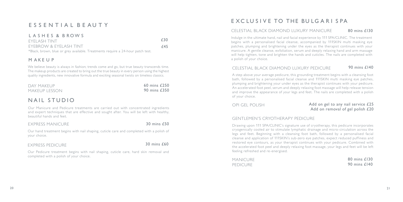## E S S E N T I A L B E A U T Y

## L A S H E S & B ROW S

| eyelash tint                                                                    | £30         |
|---------------------------------------------------------------------------------|-------------|
| EYEBROW & EYELASH TINT                                                          | <i>f</i> 45 |
| *Black, brown, blue or grey available. Treatments require a 24-hour patch test. |             |

## M AKE U P

We believe beauty is always in fashion; trends come and go, but true beauty transcends time. The makeup products are created to bring out the true beauty in every person using the highest quality ingredients, new innovative formula and exciting seasonal twists on timeless classics.

| DAY MAKEUP    |  | 60 mins £250 |
|---------------|--|--------------|
| MAKEUP LESSON |  | 90 mins £350 |

## NAIL STUDIO

Our Manicure and Pedicure treatments are carried out with concentrated ingredients and expert techniques that are effective and sought after. You will be left with healthy, beautiful hands and feet.

## EXPRESS MANICURE 30 mins £50

Our hand treatment begins with nail shaping, cuticle care and completed with a polish of your choice.

## EXPRESS PEDICURE 30 mins £60

Our Pedicure treatment begins with nail shaping, cuticle care, hard skin removal and completed with a polish of your choice.

## E XC LU S I V E TO THE BULG ARISPA

## CELESTIAL BLACK DIAMOND LUXURY MANICURE 80 mins £130

Indulge in the ultimate hand, nail and facial experience by 111 SPA/CLINIC. The treatment begins with a personalised facial cleanse, accompanied by 111SKIN multi masking eye patches, plumping and brightening under the eyes as the therapist continues with your manicure. A gentle cleanse, exfoliation, serum and deeply relaxing hand and arm massage will help tighten, tone and brighten the hands and cuticles. The nails are completed with a polish of your choice.

## CELESTIAL BLACK DIAMOND LUXURY PEDICURE 90 mins £140

A step above your average pedicure, this grounding treatment begins with a cleansing foot bath, followed by a personalised facial cleanse and 111SKIN multi masking eye patches, plumping and brightening your under eyes as the therapist continues with your pedicure. An accelerated foot peel, serum and deeply relaxing foot massage will help release tension and improve the appearance of your legs and feet. The nails are completed with a polish of your choice.

## GENTLEMEN'S CRYOTHERAPY PEDICURE

Drawing upon 111 SPA/CLINIC's signature use of cryotherapy, this pedicure incorporates cryogenically cooled air to stimulate lymphatic drainage and micro-circulation across the legs and feet. Beginning with a cleansing foot bath, followed by a personalised facial cleanse and application of 111SKIN's sub-zero eye patches, expect reduced puffiness and restored eye contours, as your therapist continues with your pedicure. Combined with the accelerated foot peel and deeply relaxing foot massage, your legs and feet will be left feeling refreshed and re-energised.

MANICURE PEDICURE

## OPI GEL POLISH Add on gel to any nail service £25 Add on removal of gel polish £20

80 mins £130 90 mins £140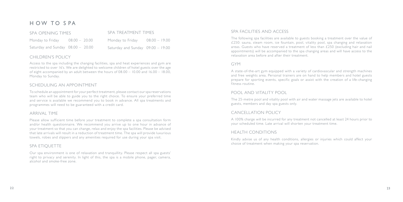Access to the spa including the changing facilities, spa and heat experiences and gym are restricted to over 16's. We are delighted to welcome children of hotel guests over the age of eight accompanied by an adult between the hours of 08.00 – 10.00 and 16.00 – 18.00, Monday to Sunday.

## SCHEDULING AN APPOINTMENT

To schedule an appointment for your perfect treatment, please contact our spa reservations team who will be able to guide you to the right choice. To ensure your preferred time and service is available we recommend you to book in advance. All spa treatments and programmes will need to be guaranteed with a credit card.

### ARRIVAL TIME

Please allow sufficient time before your treatment to complete a spa consultation form and/or health questionnaire. We recommend you arrive up to one hour in advance of your treatment so that you can change, relax and enjoy the spa facilities. Please be advised that late arrivals will result in a reduction of treatment time. The spa will provide luxurious towels, robes and slippers and any amenities required for use during your spa visit.

## SPA ETIQUETTE

Our spa environment is one of relaxation and tranquillity. Please respect all spa guests' right to privacy and serenity. In light of this, the spa is a mobile phone, pager, camera, alcohol and smoke-free zone.

## H OW TO S PA

## CHILDREN'S POLICY

| SPA OPENING TIMES                   |  | SPA TREATMENT TIMES               |  |  |  |
|-------------------------------------|--|-----------------------------------|--|--|--|
| Monday to Friday $08.00 - 20.00$    |  | Monday to Friday $08.00 - 19.00$  |  |  |  |
| Saturday and Sunday $08.00 - 20.00$ |  | Saturday and Sunday 09.00 - 19.00 |  |  |  |

### SPA FACILITIES AND ACCESS

The following spa facilities are available to guests booking a treatment over the value of £250: sauna, steam room, ice fountain, pool, vitality pool, spa changing and relaxation areas. Guests who have reserved a treatment of less than  $£250$  (excluding hair and nail appointments) will be accompanied to the spa changing areas and will have access to the relaxation area before and after their treatment.

## GYM

A state-of-the-art gym equipped with a variety of cardiovascular and strength machines and free weights area. Personal trainers are on hand to help members and hotel guests prepare for sporting events, specific goals or assist with the creation of a life-changing fitness routine.

### POOL AND VITALITY POOL

The 25-metre pool and vitality pool with air and water massage jets are available to hotel guests, members and day spa guests only.

## CANCELLATION POLICY

A 100% charge will be incurred for any treatment not cancelled at least 24 hours prior to your scheduled time. Late arrival will shorten your treatment time.

## HEALTH CONDITIONS

Kindly advise us of any health conditions, allergies or injuries which could affect your choice of treatment when making your spa reservation.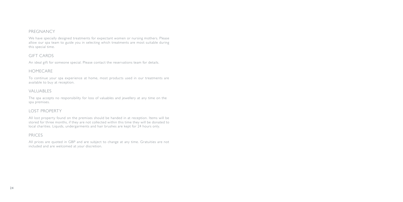## PREGNANCY

We have specially designed treatments for expectant women or nursing mothers. Please allow our spa team to guide you in selecting which treatments are most suitable during this special time.

## GIFT CARDS

An ideal gift for someone special. Please contact the reservations team for details.

## HOMECARE

To continue your spa experience at home, most products used in our treatments are available to buy at reception.

## VALUABLES

The spa accepts no responsibility for loss of valuables and jewellery at any time on the spa premises.

## LOST PROPERTY

All lost property found on the premises should be handed in at reception. Items will be stored for three months, if they are not collected within this time they will be donated to local charities. Liquids, undergarments and hair brushes are kept for 24 hours only.

## PRICES

All prices are quoted in GBP and are subject to change at any time. Gratuities are not included and are welcomed at your discretion.